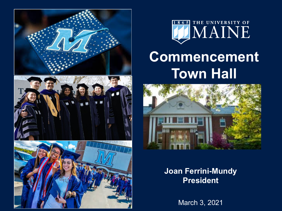



# **Commencement Town Hall**



### **Joan Ferrini-Mundy President**

March 3, 2021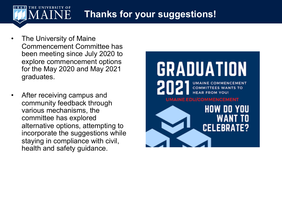#### UNIVERSITY OF **Thanks for your suggestions!**

- The University of Maine Commencement Committee has been meeting since July 2020 to explore commencement options for the May 2020 and May 2021 graduates.
- After receiving campus and community feedback through various mechanisms, the committee has explored alternative options, attempting to incorporate the suggestions while staying in compliance with civil, health and safety guidance.

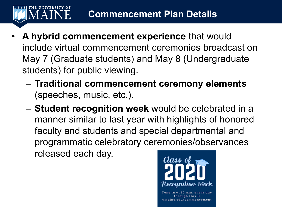# **Commencement Plan Details**

• **A hybrid commencement experience** that would include virtual commencement ceremonies broadcast on May 7 (Graduate students) and May 8 (Undergraduate students) for public viewing.

HE UNIVERSITY OF

- **Traditional commencement ceremony elements**  (speeches, music, etc.).
- **Student recognition week** would be celebrated in a manner similar to last year with highlights of honored faculty and students and special departmental and programmatic celebratory ceremonies/observances released each day.



umaine.edu/commencement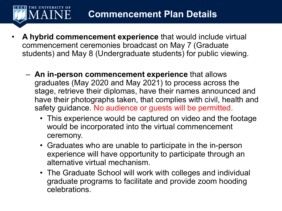## **Commencement Plan Details**

• **A hybrid commencement experience** that would include virtual commencement ceremonies broadcast on May 7 (Graduate students) and May 8 (Undergraduate students) for public viewing.

**HE UNIVERSITY OF** *A* A I N E

- **An in-person commencement experience** that allows graduates (May 2020 and May 2021) to process across the stage, retrieve their diplomas, have their names announced and have their photographs taken, that complies with civil, health and safety guidance. No audience or guests will be permitted.
	- This experience would be captured on video and the footage would be incorporated into the virtual commencement ceremony.
	- Graduates who are unable to participate in the in-person experience will have opportunity to participate through an alternative virtual mechanism.
	- The Graduate School will work with colleges and individual graduate programs to facilitate and provide zoom hooding celebrations.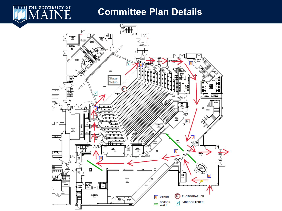## **Committee Plan Details**

THE UNIVERSITY OF

 $1865$ 

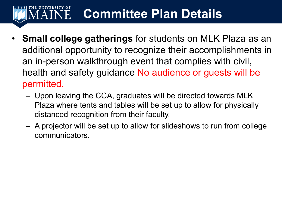#### HE UNIVERSITY OF **Committee Plan Details** AINE

- **Small college gatherings** for students on MLK Plaza as an additional opportunity to recognize their accomplishments in an in-person walkthrough event that complies with civil, health and safety guidance No audience or guests will be permitted.
	- Upon leaving the CCA, graduates will be directed towards MLK Plaza where tents and tables will be set up to allow for physically distanced recognition from their faculty.
	- A projector will be set up to allow for slideshows to run from college communicators.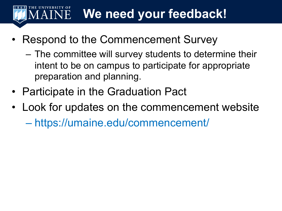#### **We need your feedback!**AINE

- Respond to the Commencement Survey
	- The committee will survey students to determine their intent to be on campus to participate for appropriate preparation and planning.
- Participate in the Graduation Pact
- Look for updates on the commencement website – https://umaine.edu/commencement/